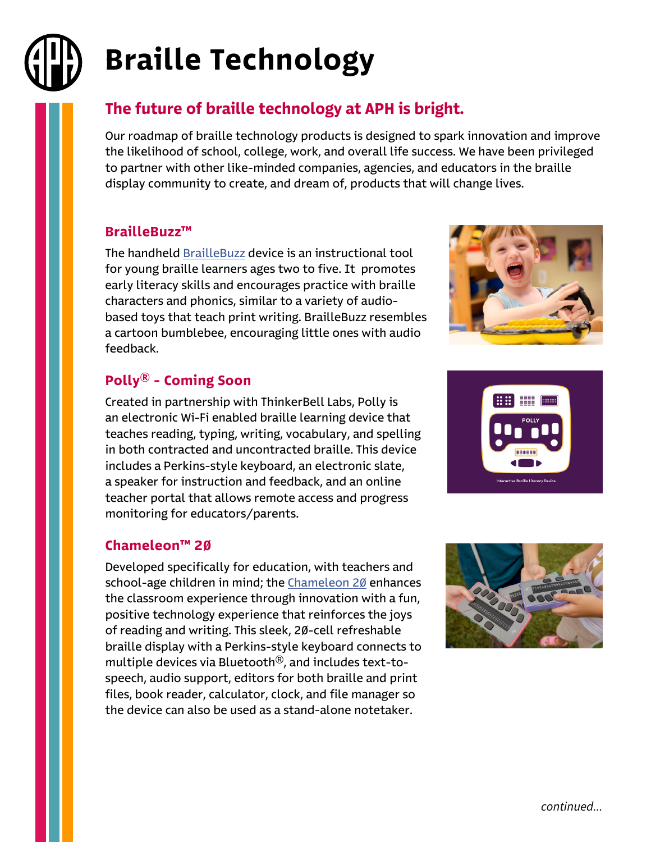# Braille Technology

## The future of braille technology at APH is bright.

Our roadmap of braille technology products is designed to spark innovation and improve the likelihood of school, college, work, and overall life success. We have been privileged to partner with other like-minded companies, agencies, and educators in the braille display community to create, and dream of, products that will change lives.

#### BrailleBuzz™

The handheld [BrailleBuzz](https://www.aph.org/product/braille-buzz/?utm_source=Conference+Handout&utm_medium=Brochure&utm_campaign=2022_Conferences) device is an instructional tool for young braille learners ages two to five. It promotes early literacy skills and encourages practice with braille characters and phonics, similar to a variety of audiobased toys that teach print writing. BrailleBuzz resembles a cartoon bumblebee, encouraging little ones with audio feedback.

### Polly® - Coming Soon

Created in partnership with ThinkerBell Labs, Polly is an electronic Wi-Fi enabled braille learning device that teaches reading, typing, writing, vocabulary, and spelling in both contracted and uncontracted braille. This device includes a Perkins-style keyboard, an electronic slate, a speaker for instruction and feedback, and an online teacher portal that allows remote access and progress monitoring for educators/parents.

#### Chameleon™ 20

Developed specifically for education, with teachers and school-age children in mind; the [Chameleon 20](https://www.aph.org/product/chameleon-20/?utm_source=Conference+Handout&utm_medium=Brochure&utm_campaign=2022_Conferences) enhances the classroom experience through innovation with a fun, positive technology experience that reinforces the joys of reading and writing. This sleek, 20-cell refreshable braille display with a Perkins-style keyboard connects to multiple devices via Bluetooth®, and includes text-tospeech, audio support, editors for both braille and print files, book reader, calculator, clock, and file manager so the device can also be used as a stand-alone notetaker.